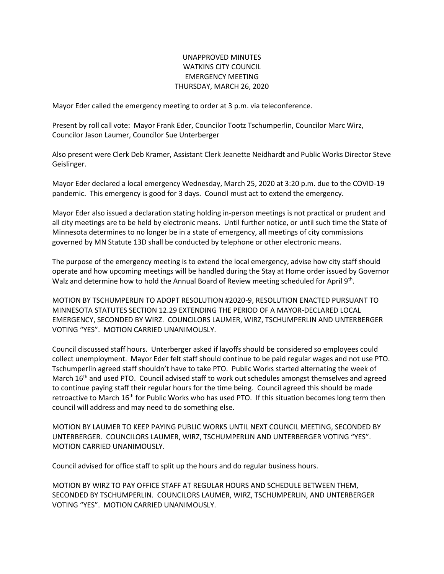## UNAPPROVED MINUTES WATKINS CITY COUNCIL EMERGENCY MEETING THURSDAY, MARCH 26, 2020

Mayor Eder called the emergency meeting to order at 3 p.m. via teleconference.

Present by roll call vote: Mayor Frank Eder, Councilor Tootz Tschumperlin, Councilor Marc Wirz, Councilor Jason Laumer, Councilor Sue Unterberger

Also present were Clerk Deb Kramer, Assistant Clerk Jeanette Neidhardt and Public Works Director Steve Geislinger.

Mayor Eder declared a local emergency Wednesday, March 25, 2020 at 3:20 p.m. due to the COVID-19 pandemic. This emergency is good for 3 days. Council must act to extend the emergency.

Mayor Eder also issued a declaration stating holding in-person meetings is not practical or prudent and all city meetings are to be held by electronic means. Until further notice, or until such time the State of Minnesota determines to no longer be in a state of emergency, all meetings of city commissions governed by MN Statute 13D shall be conducted by telephone or other electronic means.

The purpose of the emergency meeting is to extend the local emergency, advise how city staff should operate and how upcoming meetings will be handled during the Stay at Home order issued by Governor Walz and determine how to hold the Annual Board of Review meeting scheduled for April 9<sup>th</sup>.

MOTION BY TSCHUMPERLIN TO ADOPT RESOLUTION #2020-9, RESOLUTION ENACTED PURSUANT TO MINNESOTA STATUTES SECTION 12.29 EXTENDING THE PERIOD OF A MAYOR-DECLARED LOCAL EMERGENCY, SECONDED BY WIRZ. COUNCILORS LAUMER, WIRZ, TSCHUMPERLIN AND UNTERBERGER VOTING "YES". MOTION CARRIED UNANIMOUSLY.

Council discussed staff hours. Unterberger asked if layoffs should be considered so employees could collect unemployment. Mayor Eder felt staff should continue to be paid regular wages and not use PTO. Tschumperlin agreed staff shouldn't have to take PTO. Public Works started alternating the week of March 16<sup>th</sup> and used PTO. Council advised staff to work out schedules amongst themselves and agreed to continue paying staff their regular hours for the time being. Council agreed this should be made retroactive to March 16<sup>th</sup> for Public Works who has used PTO. If this situation becomes long term then council will address and may need to do something else.

MOTION BY LAUMER TO KEEP PAYING PUBLIC WORKS UNTIL NEXT COUNCIL MEETING, SECONDED BY UNTERBERGER. COUNCILORS LAUMER, WIRZ, TSCHUMPERLIN AND UNTERBERGER VOTING "YES". MOTION CARRIED UNANIMOUSLY.

Council advised for office staff to split up the hours and do regular business hours.

MOTION BY WIRZ TO PAY OFFICE STAFF AT REGULAR HOURS AND SCHEDULE BETWEEN THEM, SECONDED BY TSCHUMPERLIN. COUNCILORS LAUMER, WIRZ, TSCHUMPERLIN, AND UNTERBERGER VOTING "YES". MOTION CARRIED UNANIMOUSLY.